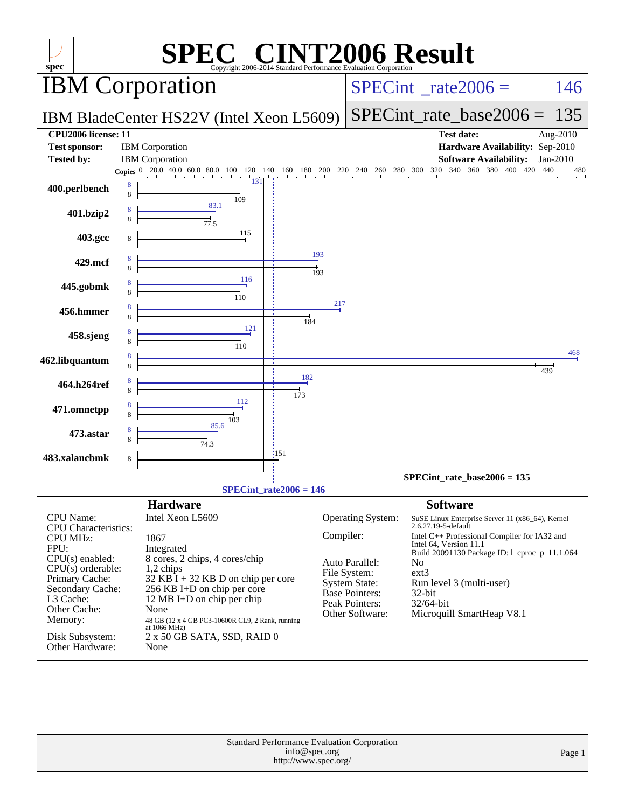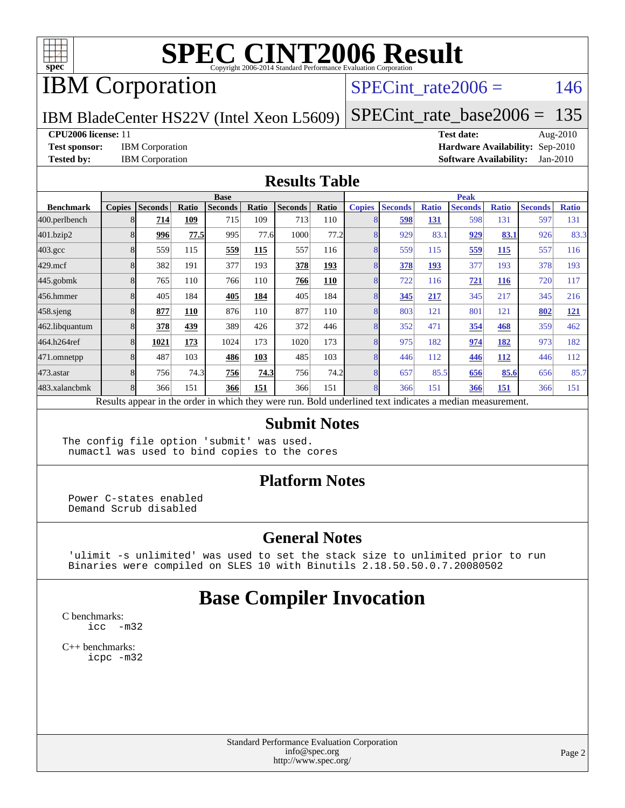

# IBM Corporation

### SPECint rate $2006 = 146$

IBM BladeCenter HS22V (Intel Xeon L5609)

[SPECint\\_rate\\_base2006 =](http://www.spec.org/auto/cpu2006/Docs/result-fields.html#SPECintratebase2006) 135

**[CPU2006 license:](http://www.spec.org/auto/cpu2006/Docs/result-fields.html#CPU2006license)** 11 **[Test date:](http://www.spec.org/auto/cpu2006/Docs/result-fields.html#Testdate)** Aug-2010

**[Test sponsor:](http://www.spec.org/auto/cpu2006/Docs/result-fields.html#Testsponsor)** IBM Corporation **[Hardware Availability:](http://www.spec.org/auto/cpu2006/Docs/result-fields.html#HardwareAvailability)** Sep-2010 **[Tested by:](http://www.spec.org/auto/cpu2006/Docs/result-fields.html#Testedby)** IBM Corporation **[Software Availability:](http://www.spec.org/auto/cpu2006/Docs/result-fields.html#SoftwareAvailability)** Jan-2010

#### **[Results Table](http://www.spec.org/auto/cpu2006/Docs/result-fields.html#ResultsTable)**

|                    | <b>Base</b>   |                |       |                |       |                |       | <b>Peak</b>   |                |              |                                                                                                          |              |                |              |
|--------------------|---------------|----------------|-------|----------------|-------|----------------|-------|---------------|----------------|--------------|----------------------------------------------------------------------------------------------------------|--------------|----------------|--------------|
| <b>Benchmark</b>   | <b>Copies</b> | <b>Seconds</b> | Ratio | <b>Seconds</b> | Ratio | <b>Seconds</b> | Ratio | <b>Copies</b> | <b>Seconds</b> | <b>Ratio</b> | <b>Seconds</b>                                                                                           | <b>Ratio</b> | <b>Seconds</b> | <b>Ratio</b> |
| 400.perlbench      | 8             | 714            | 109   | 715            | 109   | 713            | 110   | 8             | 598            | <u>131</u>   | 598                                                                                                      | 131          | 597            | 131          |
| 401.bzip2          | 8             | 996            | 77.5  | 995            | 77.6  | 1000           | 77.2  | 8             | 929            | 83.1         | 929                                                                                                      | 83.1         | 926            | 83.3         |
| $403.\mathrm{gcc}$ | 8             | 559            | 115   | 559            | 115   | 557            | 116   | 8             | 559            | 115          | 559                                                                                                      | <b>115</b>   | 557            | 116          |
| $429$ .mcf         | 8             | 382            | 191   | 377            | 193   | 378            | 193   | 8             | 378            | 193          | 377                                                                                                      | 193          | 378            | 193          |
| $445$ .gobm $k$    | 8             | 765            | 110   | 766            | 110   | 766            | 110   | 8             | 722            | 116          | 721                                                                                                      | 116          | 720            | 117          |
| 456.hmmer          | 8             | 405            | 184   | 405            | 184   | 405            | 184   | 8             | 345            | 217          | 345                                                                                                      | 217          | 345            | 216          |
| 458 sjeng          | 8             | 877            | 110   | 876            | 110   | 877            | 110   | 8             | 803            | 121          | 801                                                                                                      | 121          | 802            | <u>121</u>   |
| 462.libquantum     | 8             | 378            | 439   | 389            | 426   | 372            | 446   | 8             | 352            | 471          | 354                                                                                                      | 468          | 359            | 462          |
| 464.h264ref        | 8             | 1021           | 173   | 1024           | 173   | 1020           | 173   | 8             | 975            | 182          | 974                                                                                                      | 182          | 973            | 182          |
| 471.omnetpp        | 8             | 487            | 103   | 486            | 103   | 485            | 103   | 8             | 446            | 112          | 446                                                                                                      | <b>112</b>   | 446            | 112          |
| 473.astar          | 8             | 756            | 74.3  | 756            | 74.3  | 756            | 74.2  | 8             | 657            | 85.5         | 656                                                                                                      | 85.6         | 656            | 85.7         |
| 483.xalancbmk      | 8             | 366            | 151   | 366            | 151   | 366            | 151   | 8             | 366            | 151          | 366                                                                                                      | 151          | 366            | 151          |
|                    |               |                |       |                |       |                |       |               |                |              | Results appear in the order in which they were run. Bold underlined text indicates a median measurement. |              |                |              |

#### **[Submit Notes](http://www.spec.org/auto/cpu2006/Docs/result-fields.html#SubmitNotes)**

The config file option 'submit' was used. numactl was used to bind copies to the cores

#### **[Platform Notes](http://www.spec.org/auto/cpu2006/Docs/result-fields.html#PlatformNotes)**

 Power C-states enabled Demand Scrub disabled

#### **[General Notes](http://www.spec.org/auto/cpu2006/Docs/result-fields.html#GeneralNotes)**

 'ulimit -s unlimited' was used to set the stack size to unlimited prior to run Binaries were compiled on SLES 10 with Binutils 2.18.50.50.0.7.20080502

## **[Base Compiler Invocation](http://www.spec.org/auto/cpu2006/Docs/result-fields.html#BaseCompilerInvocation)**

[C benchmarks](http://www.spec.org/auto/cpu2006/Docs/result-fields.html#Cbenchmarks): [icc -m32](http://www.spec.org/cpu2006/results/res2010q3/cpu2006-20100817-13003.flags.html#user_CCbase_intel_icc_32bit_5ff4a39e364c98233615fdd38438c6f2)

[C++ benchmarks:](http://www.spec.org/auto/cpu2006/Docs/result-fields.html#CXXbenchmarks) [icpc -m32](http://www.spec.org/cpu2006/results/res2010q3/cpu2006-20100817-13003.flags.html#user_CXXbase_intel_icpc_32bit_4e5a5ef1a53fd332b3c49e69c3330699)

> Standard Performance Evaluation Corporation [info@spec.org](mailto:info@spec.org) <http://www.spec.org/>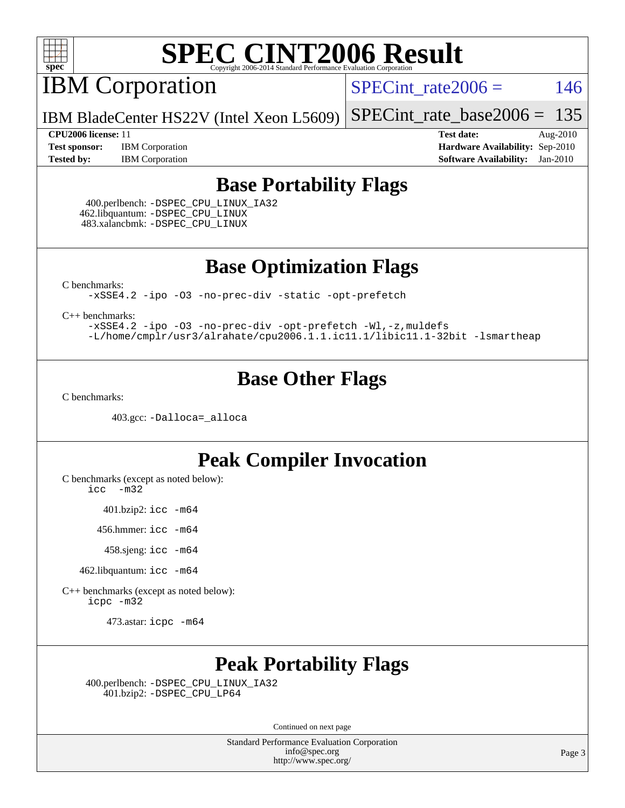

IBM Corporation

SPECint rate $2006 = 146$ 

IBM BladeCenter HS22V (Intel Xeon L5609) [SPECint\\_rate\\_base2006 =](http://www.spec.org/auto/cpu2006/Docs/result-fields.html#SPECintratebase2006) 135

**[Test sponsor:](http://www.spec.org/auto/cpu2006/Docs/result-fields.html#Testsponsor)** IBM Corporation **[Hardware Availability:](http://www.spec.org/auto/cpu2006/Docs/result-fields.html#HardwareAvailability)** Sep-2010 **[Tested by:](http://www.spec.org/auto/cpu2006/Docs/result-fields.html#Testedby)** IBM Corporation **[Software Availability:](http://www.spec.org/auto/cpu2006/Docs/result-fields.html#SoftwareAvailability)** Jan-2010

**[CPU2006 license:](http://www.spec.org/auto/cpu2006/Docs/result-fields.html#CPU2006license)** 11 **[Test date:](http://www.spec.org/auto/cpu2006/Docs/result-fields.html#Testdate)** Aug-2010

### **[Base Portability Flags](http://www.spec.org/auto/cpu2006/Docs/result-fields.html#BasePortabilityFlags)**

 400.perlbench: [-DSPEC\\_CPU\\_LINUX\\_IA32](http://www.spec.org/cpu2006/results/res2010q3/cpu2006-20100817-13003.flags.html#b400.perlbench_baseCPORTABILITY_DSPEC_CPU_LINUX_IA32) 462.libquantum: [-DSPEC\\_CPU\\_LINUX](http://www.spec.org/cpu2006/results/res2010q3/cpu2006-20100817-13003.flags.html#b462.libquantum_baseCPORTABILITY_DSPEC_CPU_LINUX) 483.xalancbmk: [-DSPEC\\_CPU\\_LINUX](http://www.spec.org/cpu2006/results/res2010q3/cpu2006-20100817-13003.flags.html#b483.xalancbmk_baseCXXPORTABILITY_DSPEC_CPU_LINUX)

**[Base Optimization Flags](http://www.spec.org/auto/cpu2006/Docs/result-fields.html#BaseOptimizationFlags)**

[C benchmarks](http://www.spec.org/auto/cpu2006/Docs/result-fields.html#Cbenchmarks):

[-xSSE4.2](http://www.spec.org/cpu2006/results/res2010q3/cpu2006-20100817-13003.flags.html#user_CCbase_f-xSSE42_f91528193cf0b216347adb8b939d4107) [-ipo](http://www.spec.org/cpu2006/results/res2010q3/cpu2006-20100817-13003.flags.html#user_CCbase_f-ipo) [-O3](http://www.spec.org/cpu2006/results/res2010q3/cpu2006-20100817-13003.flags.html#user_CCbase_f-O3) [-no-prec-div](http://www.spec.org/cpu2006/results/res2010q3/cpu2006-20100817-13003.flags.html#user_CCbase_f-no-prec-div) [-static](http://www.spec.org/cpu2006/results/res2010q3/cpu2006-20100817-13003.flags.html#user_CCbase_f-static) [-opt-prefetch](http://www.spec.org/cpu2006/results/res2010q3/cpu2006-20100817-13003.flags.html#user_CCbase_f-opt-prefetch)

[C++ benchmarks:](http://www.spec.org/auto/cpu2006/Docs/result-fields.html#CXXbenchmarks)

[-xSSE4.2](http://www.spec.org/cpu2006/results/res2010q3/cpu2006-20100817-13003.flags.html#user_CXXbase_f-xSSE42_f91528193cf0b216347adb8b939d4107) [-ipo](http://www.spec.org/cpu2006/results/res2010q3/cpu2006-20100817-13003.flags.html#user_CXXbase_f-ipo) [-O3](http://www.spec.org/cpu2006/results/res2010q3/cpu2006-20100817-13003.flags.html#user_CXXbase_f-O3) [-no-prec-div](http://www.spec.org/cpu2006/results/res2010q3/cpu2006-20100817-13003.flags.html#user_CXXbase_f-no-prec-div) [-opt-prefetch](http://www.spec.org/cpu2006/results/res2010q3/cpu2006-20100817-13003.flags.html#user_CXXbase_f-opt-prefetch) [-Wl,-z,muldefs](http://www.spec.org/cpu2006/results/res2010q3/cpu2006-20100817-13003.flags.html#user_CXXbase_link_force_multiple1_74079c344b956b9658436fd1b6dd3a8a) [-L/home/cmplr/usr3/alrahate/cpu2006.1.1.ic11.1/libic11.1-32bit -lsmartheap](http://www.spec.org/cpu2006/results/res2010q3/cpu2006-20100817-13003.flags.html#user_CXXbase_SmartHeap_d86dffe4a79b79ef8890d5cce17030c3)

### **[Base Other Flags](http://www.spec.org/auto/cpu2006/Docs/result-fields.html#BaseOtherFlags)**

[C benchmarks](http://www.spec.org/auto/cpu2006/Docs/result-fields.html#Cbenchmarks):

403.gcc: [-Dalloca=\\_alloca](http://www.spec.org/cpu2006/results/res2010q3/cpu2006-20100817-13003.flags.html#b403.gcc_baseEXTRA_CFLAGS_Dalloca_be3056838c12de2578596ca5467af7f3)

### **[Peak Compiler Invocation](http://www.spec.org/auto/cpu2006/Docs/result-fields.html#PeakCompilerInvocation)**

[C benchmarks \(except as noted below\)](http://www.spec.org/auto/cpu2006/Docs/result-fields.html#Cbenchmarksexceptasnotedbelow):

[icc -m32](http://www.spec.org/cpu2006/results/res2010q3/cpu2006-20100817-13003.flags.html#user_CCpeak_intel_icc_32bit_5ff4a39e364c98233615fdd38438c6f2)

401.bzip2: [icc -m64](http://www.spec.org/cpu2006/results/res2010q3/cpu2006-20100817-13003.flags.html#user_peakCCLD401_bzip2_intel_icc_64bit_bda6cc9af1fdbb0edc3795bac97ada53)

456.hmmer: [icc -m64](http://www.spec.org/cpu2006/results/res2010q3/cpu2006-20100817-13003.flags.html#user_peakCCLD456_hmmer_intel_icc_64bit_bda6cc9af1fdbb0edc3795bac97ada53)

458.sjeng: [icc -m64](http://www.spec.org/cpu2006/results/res2010q3/cpu2006-20100817-13003.flags.html#user_peakCCLD458_sjeng_intel_icc_64bit_bda6cc9af1fdbb0edc3795bac97ada53)

462.libquantum: [icc -m64](http://www.spec.org/cpu2006/results/res2010q3/cpu2006-20100817-13003.flags.html#user_peakCCLD462_libquantum_intel_icc_64bit_bda6cc9af1fdbb0edc3795bac97ada53)

[C++ benchmarks \(except as noted below\):](http://www.spec.org/auto/cpu2006/Docs/result-fields.html#CXXbenchmarksexceptasnotedbelow) [icpc -m32](http://www.spec.org/cpu2006/results/res2010q3/cpu2006-20100817-13003.flags.html#user_CXXpeak_intel_icpc_32bit_4e5a5ef1a53fd332b3c49e69c3330699)

473.astar: [icpc -m64](http://www.spec.org/cpu2006/results/res2010q3/cpu2006-20100817-13003.flags.html#user_peakCXXLD473_astar_intel_icpc_64bit_fc66a5337ce925472a5c54ad6a0de310)

## **[Peak Portability Flags](http://www.spec.org/auto/cpu2006/Docs/result-fields.html#PeakPortabilityFlags)**

 400.perlbench: [-DSPEC\\_CPU\\_LINUX\\_IA32](http://www.spec.org/cpu2006/results/res2010q3/cpu2006-20100817-13003.flags.html#b400.perlbench_peakCPORTABILITY_DSPEC_CPU_LINUX_IA32) 401.bzip2: [-DSPEC\\_CPU\\_LP64](http://www.spec.org/cpu2006/results/res2010q3/cpu2006-20100817-13003.flags.html#suite_peakCPORTABILITY401_bzip2_DSPEC_CPU_LP64)

Continued on next page

Standard Performance Evaluation Corporation [info@spec.org](mailto:info@spec.org) <http://www.spec.org/>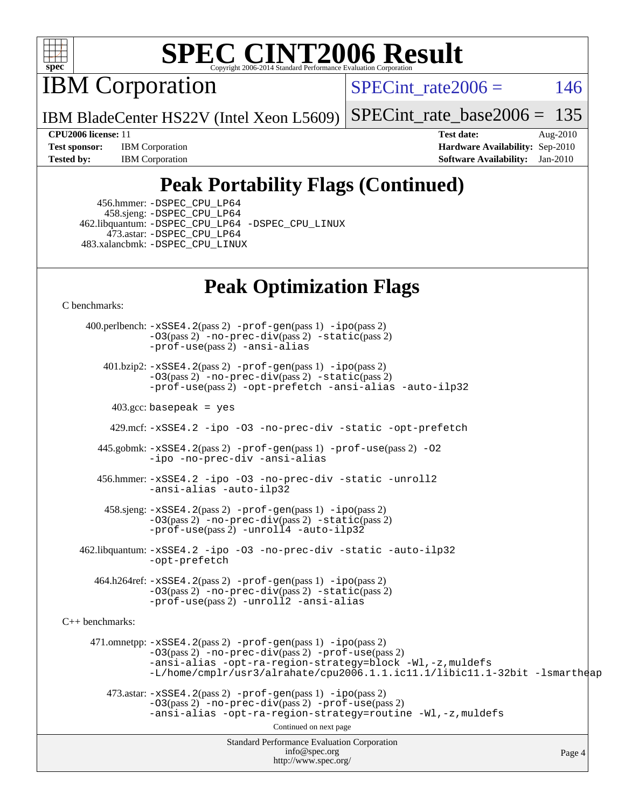

IBM Corporation

SPECint rate $2006 = 146$ 

IBM BladeCenter HS22V (Intel Xeon L5609)

[SPECint\\_rate\\_base2006 =](http://www.spec.org/auto/cpu2006/Docs/result-fields.html#SPECintratebase2006)  $135$ 

**[Test sponsor:](http://www.spec.org/auto/cpu2006/Docs/result-fields.html#Testsponsor)** IBM Corporation **[Hardware Availability:](http://www.spec.org/auto/cpu2006/Docs/result-fields.html#HardwareAvailability)** Sep-2010 **[Tested by:](http://www.spec.org/auto/cpu2006/Docs/result-fields.html#Testedby)** IBM Corporation **[Software Availability:](http://www.spec.org/auto/cpu2006/Docs/result-fields.html#SoftwareAvailability)** Jan-2010

**[CPU2006 license:](http://www.spec.org/auto/cpu2006/Docs/result-fields.html#CPU2006license)** 11 **[Test date:](http://www.spec.org/auto/cpu2006/Docs/result-fields.html#Testdate)** Aug-2010

# **[Peak Portability Flags \(Continued\)](http://www.spec.org/auto/cpu2006/Docs/result-fields.html#PeakPortabilityFlags)**

 456.hmmer: [-DSPEC\\_CPU\\_LP64](http://www.spec.org/cpu2006/results/res2010q3/cpu2006-20100817-13003.flags.html#suite_peakCPORTABILITY456_hmmer_DSPEC_CPU_LP64) 458.sjeng: [-DSPEC\\_CPU\\_LP64](http://www.spec.org/cpu2006/results/res2010q3/cpu2006-20100817-13003.flags.html#suite_peakCPORTABILITY458_sjeng_DSPEC_CPU_LP64) 462.libquantum: [-DSPEC\\_CPU\\_LP64](http://www.spec.org/cpu2006/results/res2010q3/cpu2006-20100817-13003.flags.html#suite_peakCPORTABILITY462_libquantum_DSPEC_CPU_LP64) [-DSPEC\\_CPU\\_LINUX](http://www.spec.org/cpu2006/results/res2010q3/cpu2006-20100817-13003.flags.html#b462.libquantum_peakCPORTABILITY_DSPEC_CPU_LINUX) 473.astar: [-DSPEC\\_CPU\\_LP64](http://www.spec.org/cpu2006/results/res2010q3/cpu2006-20100817-13003.flags.html#suite_peakCXXPORTABILITY473_astar_DSPEC_CPU_LP64) 483.xalancbmk: [-DSPEC\\_CPU\\_LINUX](http://www.spec.org/cpu2006/results/res2010q3/cpu2006-20100817-13003.flags.html#b483.xalancbmk_peakCXXPORTABILITY_DSPEC_CPU_LINUX)

## **[Peak Optimization Flags](http://www.spec.org/auto/cpu2006/Docs/result-fields.html#PeakOptimizationFlags)**

[C benchmarks](http://www.spec.org/auto/cpu2006/Docs/result-fields.html#Cbenchmarks):

Standard Performance Evaluation Corporation [info@spec.org](mailto:info@spec.org) <http://www.spec.org/> Page 4 400.perlbench: [-xSSE4.2](http://www.spec.org/cpu2006/results/res2010q3/cpu2006-20100817-13003.flags.html#user_peakPASS2_CFLAGSPASS2_LDCFLAGS400_perlbench_f-xSSE42_f91528193cf0b216347adb8b939d4107)(pass 2) [-prof-gen](http://www.spec.org/cpu2006/results/res2010q3/cpu2006-20100817-13003.flags.html#user_peakPASS1_CFLAGSPASS1_LDCFLAGS400_perlbench_prof_gen_e43856698f6ca7b7e442dfd80e94a8fc)(pass 1) [-ipo](http://www.spec.org/cpu2006/results/res2010q3/cpu2006-20100817-13003.flags.html#user_peakPASS2_CFLAGSPASS2_LDCFLAGS400_perlbench_f-ipo)(pass 2) [-O3](http://www.spec.org/cpu2006/results/res2010q3/cpu2006-20100817-13003.flags.html#user_peakPASS2_CFLAGSPASS2_LDCFLAGS400_perlbench_f-O3)(pass 2) [-no-prec-div](http://www.spec.org/cpu2006/results/res2010q3/cpu2006-20100817-13003.flags.html#user_peakPASS2_CFLAGSPASS2_LDCFLAGS400_perlbench_f-no-prec-div)(pass 2) [-static](http://www.spec.org/cpu2006/results/res2010q3/cpu2006-20100817-13003.flags.html#user_peakPASS2_CFLAGSPASS2_LDCFLAGS400_perlbench_f-static)(pass 2) [-prof-use](http://www.spec.org/cpu2006/results/res2010q3/cpu2006-20100817-13003.flags.html#user_peakPASS2_CFLAGSPASS2_LDCFLAGS400_perlbench_prof_use_bccf7792157ff70d64e32fe3e1250b55)(pass 2) [-ansi-alias](http://www.spec.org/cpu2006/results/res2010q3/cpu2006-20100817-13003.flags.html#user_peakCOPTIMIZE400_perlbench_f-ansi-alias) 401.bzip2: [-xSSE4.2](http://www.spec.org/cpu2006/results/res2010q3/cpu2006-20100817-13003.flags.html#user_peakPASS2_CFLAGSPASS2_LDCFLAGS401_bzip2_f-xSSE42_f91528193cf0b216347adb8b939d4107)(pass 2) [-prof-gen](http://www.spec.org/cpu2006/results/res2010q3/cpu2006-20100817-13003.flags.html#user_peakPASS1_CFLAGSPASS1_LDCFLAGS401_bzip2_prof_gen_e43856698f6ca7b7e442dfd80e94a8fc)(pass 1) [-ipo](http://www.spec.org/cpu2006/results/res2010q3/cpu2006-20100817-13003.flags.html#user_peakPASS2_CFLAGSPASS2_LDCFLAGS401_bzip2_f-ipo)(pass 2) [-O3](http://www.spec.org/cpu2006/results/res2010q3/cpu2006-20100817-13003.flags.html#user_peakPASS2_CFLAGSPASS2_LDCFLAGS401_bzip2_f-O3)(pass 2) [-no-prec-div](http://www.spec.org/cpu2006/results/res2010q3/cpu2006-20100817-13003.flags.html#user_peakPASS2_CFLAGSPASS2_LDCFLAGS401_bzip2_f-no-prec-div)(pass 2) [-static](http://www.spec.org/cpu2006/results/res2010q3/cpu2006-20100817-13003.flags.html#user_peakPASS2_CFLAGSPASS2_LDCFLAGS401_bzip2_f-static)(pass 2) [-prof-use](http://www.spec.org/cpu2006/results/res2010q3/cpu2006-20100817-13003.flags.html#user_peakPASS2_CFLAGSPASS2_LDCFLAGS401_bzip2_prof_use_bccf7792157ff70d64e32fe3e1250b55)(pass 2) [-opt-prefetch](http://www.spec.org/cpu2006/results/res2010q3/cpu2006-20100817-13003.flags.html#user_peakCOPTIMIZE401_bzip2_f-opt-prefetch) [-ansi-alias](http://www.spec.org/cpu2006/results/res2010q3/cpu2006-20100817-13003.flags.html#user_peakCOPTIMIZE401_bzip2_f-ansi-alias) [-auto-ilp32](http://www.spec.org/cpu2006/results/res2010q3/cpu2006-20100817-13003.flags.html#user_peakCOPTIMIZE401_bzip2_f-auto-ilp32)  $403.\text{gcc: basepeak}$  = yes 429.mcf: [-xSSE4.2](http://www.spec.org/cpu2006/results/res2010q3/cpu2006-20100817-13003.flags.html#user_peakCOPTIMIZE429_mcf_f-xSSE42_f91528193cf0b216347adb8b939d4107) [-ipo](http://www.spec.org/cpu2006/results/res2010q3/cpu2006-20100817-13003.flags.html#user_peakCOPTIMIZE429_mcf_f-ipo) [-O3](http://www.spec.org/cpu2006/results/res2010q3/cpu2006-20100817-13003.flags.html#user_peakCOPTIMIZE429_mcf_f-O3) [-no-prec-div](http://www.spec.org/cpu2006/results/res2010q3/cpu2006-20100817-13003.flags.html#user_peakCOPTIMIZE429_mcf_f-no-prec-div) [-static](http://www.spec.org/cpu2006/results/res2010q3/cpu2006-20100817-13003.flags.html#user_peakCOPTIMIZE429_mcf_f-static) [-opt-prefetch](http://www.spec.org/cpu2006/results/res2010q3/cpu2006-20100817-13003.flags.html#user_peakCOPTIMIZE429_mcf_f-opt-prefetch) 445.gobmk: [-xSSE4.2](http://www.spec.org/cpu2006/results/res2010q3/cpu2006-20100817-13003.flags.html#user_peakPASS2_CFLAGSPASS2_LDCFLAGS445_gobmk_f-xSSE42_f91528193cf0b216347adb8b939d4107)(pass 2) [-prof-gen](http://www.spec.org/cpu2006/results/res2010q3/cpu2006-20100817-13003.flags.html#user_peakPASS1_CFLAGSPASS1_LDCFLAGS445_gobmk_prof_gen_e43856698f6ca7b7e442dfd80e94a8fc)(pass 1) [-prof-use](http://www.spec.org/cpu2006/results/res2010q3/cpu2006-20100817-13003.flags.html#user_peakPASS2_CFLAGSPASS2_LDCFLAGS445_gobmk_prof_use_bccf7792157ff70d64e32fe3e1250b55)(pass 2) [-O2](http://www.spec.org/cpu2006/results/res2010q3/cpu2006-20100817-13003.flags.html#user_peakCOPTIMIZE445_gobmk_f-O2) [-ipo](http://www.spec.org/cpu2006/results/res2010q3/cpu2006-20100817-13003.flags.html#user_peakCOPTIMIZE445_gobmk_f-ipo) [-no-prec-div](http://www.spec.org/cpu2006/results/res2010q3/cpu2006-20100817-13003.flags.html#user_peakCOPTIMIZE445_gobmk_f-no-prec-div) [-ansi-alias](http://www.spec.org/cpu2006/results/res2010q3/cpu2006-20100817-13003.flags.html#user_peakCOPTIMIZE445_gobmk_f-ansi-alias) 456.hmmer: [-xSSE4.2](http://www.spec.org/cpu2006/results/res2010q3/cpu2006-20100817-13003.flags.html#user_peakCOPTIMIZE456_hmmer_f-xSSE42_f91528193cf0b216347adb8b939d4107) [-ipo](http://www.spec.org/cpu2006/results/res2010q3/cpu2006-20100817-13003.flags.html#user_peakCOPTIMIZE456_hmmer_f-ipo) [-O3](http://www.spec.org/cpu2006/results/res2010q3/cpu2006-20100817-13003.flags.html#user_peakCOPTIMIZE456_hmmer_f-O3) [-no-prec-div](http://www.spec.org/cpu2006/results/res2010q3/cpu2006-20100817-13003.flags.html#user_peakCOPTIMIZE456_hmmer_f-no-prec-div) [-static](http://www.spec.org/cpu2006/results/res2010q3/cpu2006-20100817-13003.flags.html#user_peakCOPTIMIZE456_hmmer_f-static) [-unroll2](http://www.spec.org/cpu2006/results/res2010q3/cpu2006-20100817-13003.flags.html#user_peakCOPTIMIZE456_hmmer_f-unroll_784dae83bebfb236979b41d2422d7ec2) [-ansi-alias](http://www.spec.org/cpu2006/results/res2010q3/cpu2006-20100817-13003.flags.html#user_peakCOPTIMIZE456_hmmer_f-ansi-alias) [-auto-ilp32](http://www.spec.org/cpu2006/results/res2010q3/cpu2006-20100817-13003.flags.html#user_peakCOPTIMIZE456_hmmer_f-auto-ilp32) 458.sjeng: [-xSSE4.2](http://www.spec.org/cpu2006/results/res2010q3/cpu2006-20100817-13003.flags.html#user_peakPASS2_CFLAGSPASS2_LDCFLAGS458_sjeng_f-xSSE42_f91528193cf0b216347adb8b939d4107)(pass 2) [-prof-gen](http://www.spec.org/cpu2006/results/res2010q3/cpu2006-20100817-13003.flags.html#user_peakPASS1_CFLAGSPASS1_LDCFLAGS458_sjeng_prof_gen_e43856698f6ca7b7e442dfd80e94a8fc)(pass 1) [-ipo](http://www.spec.org/cpu2006/results/res2010q3/cpu2006-20100817-13003.flags.html#user_peakPASS2_CFLAGSPASS2_LDCFLAGS458_sjeng_f-ipo)(pass 2) [-O3](http://www.spec.org/cpu2006/results/res2010q3/cpu2006-20100817-13003.flags.html#user_peakPASS2_CFLAGSPASS2_LDCFLAGS458_sjeng_f-O3)(pass 2) [-no-prec-div](http://www.spec.org/cpu2006/results/res2010q3/cpu2006-20100817-13003.flags.html#user_peakPASS2_CFLAGSPASS2_LDCFLAGS458_sjeng_f-no-prec-div)(pass 2) [-static](http://www.spec.org/cpu2006/results/res2010q3/cpu2006-20100817-13003.flags.html#user_peakPASS2_CFLAGSPASS2_LDCFLAGS458_sjeng_f-static)(pass 2) [-prof-use](http://www.spec.org/cpu2006/results/res2010q3/cpu2006-20100817-13003.flags.html#user_peakPASS2_CFLAGSPASS2_LDCFLAGS458_sjeng_prof_use_bccf7792157ff70d64e32fe3e1250b55)(pass 2) [-unroll4](http://www.spec.org/cpu2006/results/res2010q3/cpu2006-20100817-13003.flags.html#user_peakCOPTIMIZE458_sjeng_f-unroll_4e5e4ed65b7fd20bdcd365bec371b81f) [-auto-ilp32](http://www.spec.org/cpu2006/results/res2010q3/cpu2006-20100817-13003.flags.html#user_peakCOPTIMIZE458_sjeng_f-auto-ilp32) 462.libquantum: [-xSSE4.2](http://www.spec.org/cpu2006/results/res2010q3/cpu2006-20100817-13003.flags.html#user_peakCOPTIMIZE462_libquantum_f-xSSE42_f91528193cf0b216347adb8b939d4107) [-ipo](http://www.spec.org/cpu2006/results/res2010q3/cpu2006-20100817-13003.flags.html#user_peakCOPTIMIZE462_libquantum_f-ipo) [-O3](http://www.spec.org/cpu2006/results/res2010q3/cpu2006-20100817-13003.flags.html#user_peakCOPTIMIZE462_libquantum_f-O3) [-no-prec-div](http://www.spec.org/cpu2006/results/res2010q3/cpu2006-20100817-13003.flags.html#user_peakCOPTIMIZE462_libquantum_f-no-prec-div) [-static](http://www.spec.org/cpu2006/results/res2010q3/cpu2006-20100817-13003.flags.html#user_peakCOPTIMIZE462_libquantum_f-static) [-auto-ilp32](http://www.spec.org/cpu2006/results/res2010q3/cpu2006-20100817-13003.flags.html#user_peakCOPTIMIZE462_libquantum_f-auto-ilp32) [-opt-prefetch](http://www.spec.org/cpu2006/results/res2010q3/cpu2006-20100817-13003.flags.html#user_peakCOPTIMIZE462_libquantum_f-opt-prefetch) 464.h264ref: [-xSSE4.2](http://www.spec.org/cpu2006/results/res2010q3/cpu2006-20100817-13003.flags.html#user_peakPASS2_CFLAGSPASS2_LDCFLAGS464_h264ref_f-xSSE42_f91528193cf0b216347adb8b939d4107)(pass 2) [-prof-gen](http://www.spec.org/cpu2006/results/res2010q3/cpu2006-20100817-13003.flags.html#user_peakPASS1_CFLAGSPASS1_LDCFLAGS464_h264ref_prof_gen_e43856698f6ca7b7e442dfd80e94a8fc)(pass 1) [-ipo](http://www.spec.org/cpu2006/results/res2010q3/cpu2006-20100817-13003.flags.html#user_peakPASS2_CFLAGSPASS2_LDCFLAGS464_h264ref_f-ipo)(pass 2) [-O3](http://www.spec.org/cpu2006/results/res2010q3/cpu2006-20100817-13003.flags.html#user_peakPASS2_CFLAGSPASS2_LDCFLAGS464_h264ref_f-O3)(pass 2) [-no-prec-div](http://www.spec.org/cpu2006/results/res2010q3/cpu2006-20100817-13003.flags.html#user_peakPASS2_CFLAGSPASS2_LDCFLAGS464_h264ref_f-no-prec-div)(pass 2) [-static](http://www.spec.org/cpu2006/results/res2010q3/cpu2006-20100817-13003.flags.html#user_peakPASS2_CFLAGSPASS2_LDCFLAGS464_h264ref_f-static)(pass 2) [-prof-use](http://www.spec.org/cpu2006/results/res2010q3/cpu2006-20100817-13003.flags.html#user_peakPASS2_CFLAGSPASS2_LDCFLAGS464_h264ref_prof_use_bccf7792157ff70d64e32fe3e1250b55)(pass 2) [-unroll2](http://www.spec.org/cpu2006/results/res2010q3/cpu2006-20100817-13003.flags.html#user_peakCOPTIMIZE464_h264ref_f-unroll_784dae83bebfb236979b41d2422d7ec2) [-ansi-alias](http://www.spec.org/cpu2006/results/res2010q3/cpu2006-20100817-13003.flags.html#user_peakCOPTIMIZE464_h264ref_f-ansi-alias) [C++ benchmarks:](http://www.spec.org/auto/cpu2006/Docs/result-fields.html#CXXbenchmarks) 471.omnetpp: [-xSSE4.2](http://www.spec.org/cpu2006/results/res2010q3/cpu2006-20100817-13003.flags.html#user_peakPASS2_CXXFLAGSPASS2_LDCXXFLAGS471_omnetpp_f-xSSE42_f91528193cf0b216347adb8b939d4107)(pass 2) [-prof-gen](http://www.spec.org/cpu2006/results/res2010q3/cpu2006-20100817-13003.flags.html#user_peakPASS1_CXXFLAGSPASS1_LDCXXFLAGS471_omnetpp_prof_gen_e43856698f6ca7b7e442dfd80e94a8fc)(pass 1) [-ipo](http://www.spec.org/cpu2006/results/res2010q3/cpu2006-20100817-13003.flags.html#user_peakPASS2_CXXFLAGSPASS2_LDCXXFLAGS471_omnetpp_f-ipo)(pass 2) [-O3](http://www.spec.org/cpu2006/results/res2010q3/cpu2006-20100817-13003.flags.html#user_peakPASS2_CXXFLAGSPASS2_LDCXXFLAGS471_omnetpp_f-O3)(pass 2) [-no-prec-div](http://www.spec.org/cpu2006/results/res2010q3/cpu2006-20100817-13003.flags.html#user_peakPASS2_CXXFLAGSPASS2_LDCXXFLAGS471_omnetpp_f-no-prec-div)(pass 2) [-prof-use](http://www.spec.org/cpu2006/results/res2010q3/cpu2006-20100817-13003.flags.html#user_peakPASS2_CXXFLAGSPASS2_LDCXXFLAGS471_omnetpp_prof_use_bccf7792157ff70d64e32fe3e1250b55)(pass 2) [-ansi-alias](http://www.spec.org/cpu2006/results/res2010q3/cpu2006-20100817-13003.flags.html#user_peakCXXOPTIMIZE471_omnetpp_f-ansi-alias) [-opt-ra-region-strategy=block](http://www.spec.org/cpu2006/results/res2010q3/cpu2006-20100817-13003.flags.html#user_peakCXXOPTIMIZE471_omnetpp_f-opt-ra-region-strategy-block_a0a37c372d03933b2a18d4af463c1f69) [-Wl,-z,muldefs](http://www.spec.org/cpu2006/results/res2010q3/cpu2006-20100817-13003.flags.html#user_peakEXTRA_LDFLAGS471_omnetpp_link_force_multiple1_74079c344b956b9658436fd1b6dd3a8a) [-L/home/cmplr/usr3/alrahate/cpu2006.1.1.ic11.1/libic11.1-32bit -lsmartheap](http://www.spec.org/cpu2006/results/res2010q3/cpu2006-20100817-13003.flags.html#user_peakEXTRA_LIBS471_omnetpp_SmartHeap_d86dffe4a79b79ef8890d5cce17030c3)  $473.\text{astar: } -xSSE4$ .  $2(\text{pass 2})$   $-\text{prof-gen}(\text{pass 1})$   $-i\text{po}(\text{pass 2})$ [-O3](http://www.spec.org/cpu2006/results/res2010q3/cpu2006-20100817-13003.flags.html#user_peakPASS2_CXXFLAGSPASS2_LDCXXFLAGS473_astar_f-O3)(pass 2) [-no-prec-div](http://www.spec.org/cpu2006/results/res2010q3/cpu2006-20100817-13003.flags.html#user_peakPASS2_CXXFLAGSPASS2_LDCXXFLAGS473_astar_f-no-prec-div)(pass 2) [-prof-use](http://www.spec.org/cpu2006/results/res2010q3/cpu2006-20100817-13003.flags.html#user_peakPASS2_CXXFLAGSPASS2_LDCXXFLAGS473_astar_prof_use_bccf7792157ff70d64e32fe3e1250b55)(pass 2) [-ansi-alias](http://www.spec.org/cpu2006/results/res2010q3/cpu2006-20100817-13003.flags.html#user_peakCXXOPTIMIZE473_astar_f-ansi-alias) [-opt-ra-region-strategy=routine](http://www.spec.org/cpu2006/results/res2010q3/cpu2006-20100817-13003.flags.html#user_peakCXXOPTIMIZE473_astar_f-opt-ra-region-strategy-routine_ba086ea3b1d46a52e1238e2ca173ed44) [-Wl,-z,muldefs](http://www.spec.org/cpu2006/results/res2010q3/cpu2006-20100817-13003.flags.html#user_peakEXTRA_LDFLAGS473_astar_link_force_multiple1_74079c344b956b9658436fd1b6dd3a8a) Continued on next page